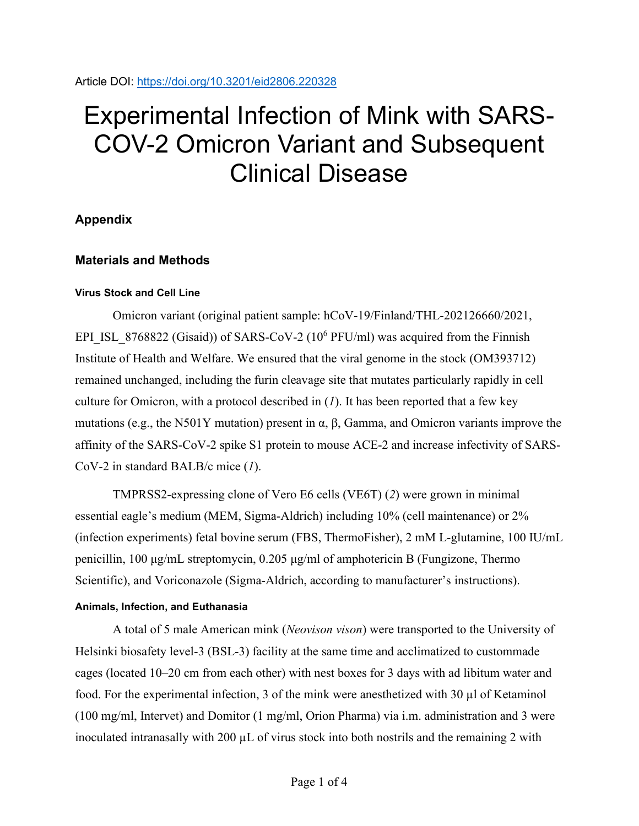Article DOI:<https://doi.org/10.3201/eid2806.220328>

# Experimental Infection of Mink with SARS-COV-2 Omicron Variant and Subsequent Clinical Disease

# **Appendix**

# **Materials and Methods**

# **Virus Stock and Cell Line**

Omicron variant (original patient sample: hCoV-19/Finland/THL-202126660/2021, EPI\_ISL\_8768822 (Gisaid)) of SARS-CoV-2 (10<sup>6</sup> PFU/ml) was acquired from the Finnish Institute of Health and Welfare. We ensured that the viral genome in the stock (OM393712) remained unchanged, including the furin cleavage site that mutates particularly rapidly in cell culture for Omicron, with a protocol described in (*1*). It has been reported that a few key mutations (e.g., the N501Y mutation) present in  $\alpha$ ,  $\beta$ , Gamma, and Omicron variants improve the affinity of the SARS-CoV-2 spike S1 protein to mouse ACE-2 and increase infectivity of SARS-CoV-2 in standard BALB/c mice (*1*).

TMPRSS2-expressing clone of Vero E6 cells (VE6T) (*2*) were grown in minimal essential eagle's medium (MEM, Sigma-Aldrich) including 10% (cell maintenance) or 2% (infection experiments) fetal bovine serum (FBS, ThermoFisher), 2 mM L-glutamine, 100 IU/mL penicillin, 100 μg/mL streptomycin, 0.205 μg/ml of amphotericin B (Fungizone, Thermo Scientific), and Voriconazole (Sigma-Aldrich, according to manufacturer's instructions).

# **Animals, Infection, and Euthanasia**

A total of 5 male American mink (*Neovison vison*) were transported to the University of Helsinki biosafety level-3 (BSL-3) facility at the same time and acclimatized to custommade cages (located 10–20 cm from each other) with nest boxes for 3 days with ad libitum water and food. For the experimental infection, 3 of the mink were anesthetized with 30 µl of Ketaminol (100 mg/ml, Intervet) and Domitor (1 mg/ml, Orion Pharma) via i.m. administration and 3 were inoculated intranasally with  $200 \mu L$  of virus stock into both nostrils and the remaining 2 with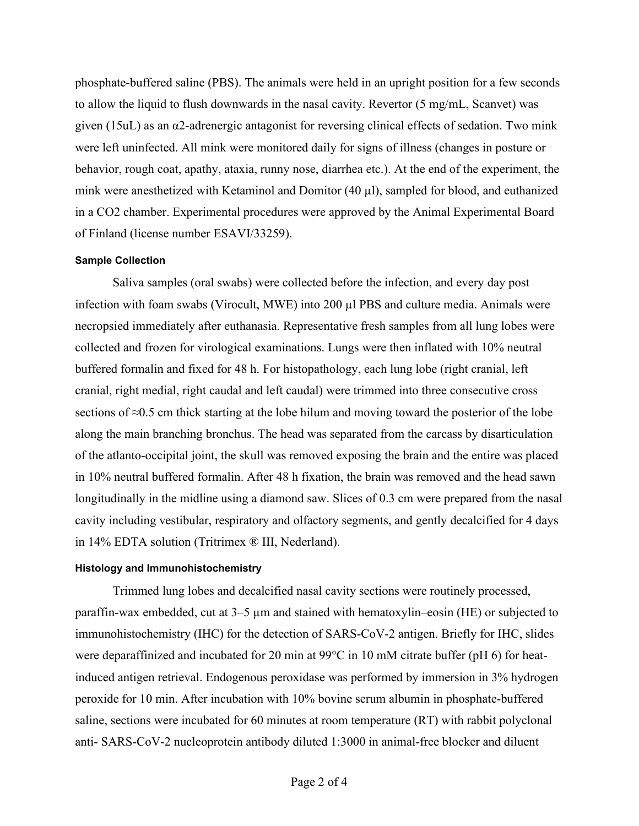phosphate-buffered saline (PBS). The animals were held in an upright position for a few seconds to allow the liquid to flush downwards in the nasal cavity. Revertor (5 mg/mL, Scanvet) was given (15uL) as an α2-adrenergic antagonist for reversing clinical effects of sedation. Two mink were left uninfected. All mink were monitored daily for signs of illness (changes in posture or behavior, rough coat, apathy, ataxia, runny nose, diarrhea etc.). At the end of the experiment, the mink were anesthetized with Ketaminol and Domitor (40 µl), sampled for blood, and euthanized in a CO2 chamber. Experimental procedures were approved by the Animal Experimental Board of Finland (license number ESAVI/33259).

#### **Sample Collection**

Saliva samples (oral swabs) were collected before the infection, and every day post infection with foam swabs (Virocult, MWE) into 200 µl PBS and culture media. Animals were necropsied immediately after euthanasia. Representative fresh samples from all lung lobes were collected and frozen for virological examinations. Lungs were then inflated with 10% neutral buffered formalin and fixed for 48 h. For histopathology, each lung lobe (right cranial, left cranial, right medial, right caudal and left caudal) were trimmed into three consecutive cross sections of ≈0.5 cm thick starting at the lobe hilum and moving toward the posterior of the lobe along the main branching bronchus. The head was separated from the carcass by disarticulation of the atlanto-occipital joint, the skull was removed exposing the brain and the entire was placed in 10% neutral buffered formalin. After 48 h fixation, the brain was removed and the head sawn longitudinally in the midline using a diamond saw. Slices of 0.3 cm were prepared from the nasal cavity including vestibular, respiratory and olfactory segments, and gently decalcified for 4 days in 14% EDTA solution (Tritrimex ® III, Nederland).

#### **Histology and Immunohistochemistry**

Trimmed lung lobes and decalcified nasal cavity sections were routinely processed, paraffin-wax embedded, cut at 3–5 µm and stained with hematoxylin–eosin (HE) or subjected to immunohistochemistry (IHC) for the detection of SARS-CoV-2 antigen. Briefly for IHC, slides were deparaffinized and incubated for 20 min at 99°C in 10 mM citrate buffer (pH 6) for heatinduced antigen retrieval. Endogenous peroxidase was performed by immersion in 3% hydrogen peroxide for 10 min. After incubation with 10% bovine serum albumin in phosphate-buffered saline, sections were incubated for 60 minutes at room temperature (RT) with rabbit polyclonal anti- SARS-CoV-2 nucleoprotein antibody diluted 1:3000 in animal-free blocker and diluent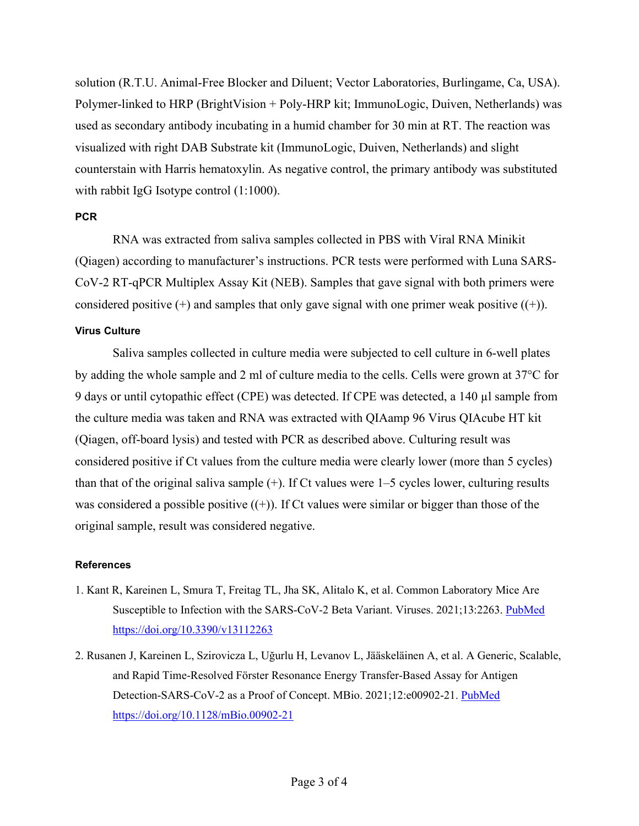solution (R.T.U. Animal-Free Blocker and Diluent; Vector Laboratories, Burlingame, Ca, USA). Polymer-linked to HRP (BrightVision + Poly-HRP kit; ImmunoLogic, Duiven, Netherlands) was used as secondary antibody incubating in a humid chamber for 30 min at RT. The reaction was visualized with right DAB Substrate kit (ImmunoLogic, Duiven, Netherlands) and slight counterstain with Harris hematoxylin. As negative control, the primary antibody was substituted with rabbit IgG Isotype control  $(1:1000)$ .

#### **PCR**

RNA was extracted from saliva samples collected in PBS with Viral RNA Minikit (Qiagen) according to manufacturer's instructions. PCR tests were performed with Luna SARS-CoV-2 RT-qPCR Multiplex Assay Kit (NEB). Samples that gave signal with both primers were considered positive  $(+)$  and samples that only gave signal with one primer weak positive  $((+)$ .

# **Virus Culture**

Saliva samples collected in culture media were subjected to cell culture in 6-well plates by adding the whole sample and 2 ml of culture media to the cells. Cells were grown at 37°C for 9 days or until cytopathic effect (CPE) was detected. If CPE was detected, a 140 µl sample from the culture media was taken and RNA was extracted with QIAamp 96 Virus QIAcube HT kit (Qiagen, off-board lysis) and tested with PCR as described above. Culturing result was considered positive if Ct values from the culture media were clearly lower (more than 5 cycles) than that of the original saliva sample  $(+)$ . If Ct values were  $1-5$  cycles lower, culturing results was considered a possible positive  $((+))$ . If Ct values were similar or bigger than those of the original sample, result was considered negative.

# **References**

- 1. Kant R, Kareinen L, Smura T, Freitag TL, Jha SK, Alitalo K, et al. Common Laboratory Mice Are Susceptible to Infection with the SARS-CoV-2 Beta Variant. Viruses. 2021;13:2263[. PubMed](https://www.ncbi.nlm.nih.gov/entrez/query.fcgi?cmd=Retrieve&db=PubMed&list_uids=34835069&dopt=Abstract) <https://doi.org/10.3390/v13112263>
- 2. Rusanen J, Kareinen L, Szirovicza L, Uğurlu H, Levanov L, Jääskeläinen A, et al. A Generic, Scalable, and Rapid Time-Resolved Förster Resonance Energy Transfer-Based Assay for Antigen Detection-SARS-CoV-2 as a Proof of Concept. MBio. 2021;12:e00902-21. [PubMed](https://www.ncbi.nlm.nih.gov/entrez/query.fcgi?cmd=Retrieve&db=PubMed&list_uids=34006662&dopt=Abstract) <https://doi.org/10.1128/mBio.00902-21>